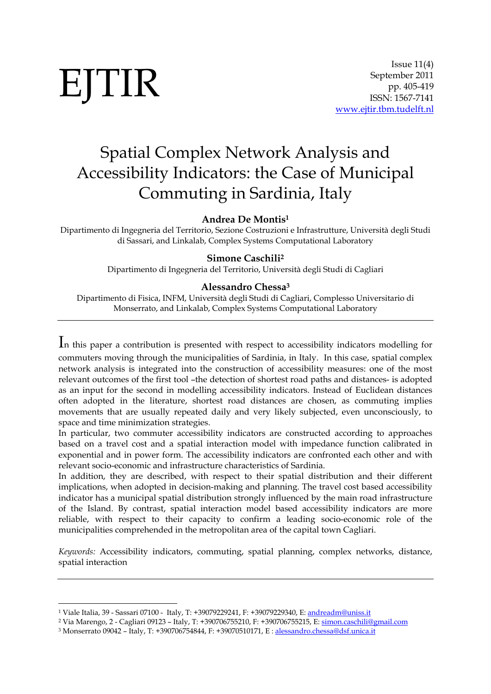-

# Spatial Complex Network Analysis and Accessibility Indicators: the Case of Municipal Commuting in Sardinia, Italy

**Andrea De Montis1**

Dipartimento di Ingegneria del Territorio, Sezione Costruzioni e Infrastrutture, Università degli Studi di Sassari, and Linkalab, Complex Systems Computational Laboratory

#### **Simone Caschili2**

Dipartimento di Ingegneria del Territorio, Università degli Studi di Cagliari

#### **Alessandro Chessa3**

Dipartimento di Fisica, INFM, Università degli Studi di Cagliari, Complesso Universitario di Monserrato, and Linkalab, Complex Systems Computational Laboratory

In this paper a contribution is presented with respect to accessibility indicators modelling for

commuters moving through the municipalities of Sardinia, in Italy. In this case, spatial complex network analysis is integrated into the construction of accessibility measures: one of the most relevant outcomes of the first tool –the detection of shortest road paths and distances- is adopted as an input for the second in modelling accessibility indicators. Instead of Euclidean distances often adopted in the literature, shortest road distances are chosen, as commuting implies movements that are usually repeated daily and very likely subjected, even unconsciously, to space and time minimization strategies.

In particular, two commuter accessibility indicators are constructed according to approaches based on a travel cost and a spatial interaction model with impedance function calibrated in exponential and in power form. The accessibility indicators are confronted each other and with relevant socio-economic and infrastructure characteristics of Sardinia.

In addition, they are described, with respect to their spatial distribution and their different implications, when adopted in decision-making and planning. The travel cost based accessibility indicator has a municipal spatial distribution strongly influenced by the main road infrastructure of the Island. By contrast, spatial interaction model based accessibility indicators are more reliable, with respect to their capacity to confirm a leading socio-economic role of the municipalities comprehended in the metropolitan area of the capital town Cagliari.

*Keywords:* Accessibility indicators, commuting, spatial planning, complex networks, distance, spatial interaction

<sup>1</sup> Viale Italia, 39 - Sassari 07100 - Italy, T: +39079229241, F: +39079229340, E: andreadm@uniss.it

<sup>2</sup> Via Marengo, 2 - Cagliari 09123 – Italy, T: +390706755210, F: +390706755215, E: simon.caschili@gmail.com

<sup>3</sup> Monserrato 09042 – Italy, T: +390706754844, F: +39070510171, E : alessandro.chessa@dsf.unica.it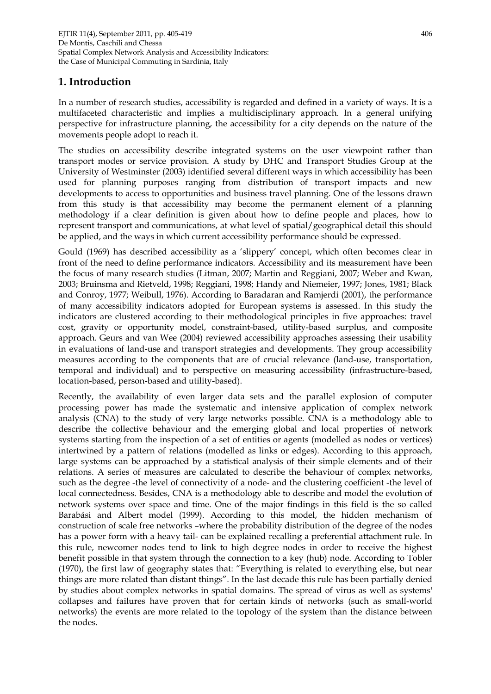# **1. Introduction**

In a number of research studies, accessibility is regarded and defined in a variety of ways. It is a multifaceted characteristic and implies a multidisciplinary approach. In a general unifying perspective for infrastructure planning, the accessibility for a city depends on the nature of the movements people adopt to reach it.

The studies on accessibility describe integrated systems on the user viewpoint rather than transport modes or service provision. A study by DHC and Transport Studies Group at the University of Westminster (2003) identified several different ways in which accessibility has been used for planning purposes ranging from distribution of transport impacts and new developments to access to opportunities and business travel planning. One of the lessons drawn from this study is that accessibility may become the permanent element of a planning methodology if a clear definition is given about how to define people and places, how to represent transport and communications, at what level of spatial/geographical detail this should be applied, and the ways in which current accessibility performance should be expressed.

Gould (1969) has described accessibility as a 'slippery' concept, which often becomes clear in front of the need to define performance indicators. Accessibility and its measurement have been the focus of many research studies (Litman, 2007; Martin and Reggiani, 2007; Weber and Kwan, 2003; Bruinsma and Rietveld, 1998; Reggiani, 1998; Handy and Niemeier, 1997; Jones, 1981; Black and Conroy, 1977; Weibull, 1976). According to Baradaran and Ramjerdi (2001), the performance of many accessibility indicators adopted for European systems is assessed. In this study the indicators are clustered according to their methodological principles in five approaches: travel cost, gravity or opportunity model, constraint-based, utility-based surplus, and composite approach. Geurs and van Wee (2004) reviewed accessibility approaches assessing their usability in evaluations of land-use and transport strategies and developments. They group accessibility measures according to the components that are of crucial relevance (land-use, transportation, temporal and individual) and to perspective on measuring accessibility (infrastructure-based, location-based, person-based and utility-based).

Recently, the availability of even larger data sets and the parallel explosion of computer processing power has made the systematic and intensive application of complex network analysis (CNA) to the study of very large networks possible. CNA is a methodology able to describe the collective behaviour and the emerging global and local properties of network systems starting from the inspection of a set of entities or agents (modelled as nodes or vertices) intertwined by a pattern of relations (modelled as links or edges). According to this approach, large systems can be approached by a statistical analysis of their simple elements and of their relations. A series of measures are calculated to describe the behaviour of complex networks, such as the degree -the level of connectivity of a node- and the clustering coefficient -the level of local connectedness. Besides, CNA is a methodology able to describe and model the evolution of network systems over space and time. One of the major findings in this field is the so called Barabási and Albert model (1999). According to this model, the hidden mechanism of construction of scale free networks –where the probability distribution of the degree of the nodes has a power form with a heavy tail- can be explained recalling a preferential attachment rule. In this rule, newcomer nodes tend to link to high degree nodes in order to receive the highest benefit possible in that system through the connection to a key (hub) node. According to Tobler (1970), the first law of geography states that: "Everything is related to everything else, but near things are more related than distant things". In the last decade this rule has been partially denied by studies about complex networks in spatial domains. The spread of virus as well as systems' collapses and failures have proven that for certain kinds of networks (such as small-world networks) the events are more related to the topology of the system than the distance between the nodes.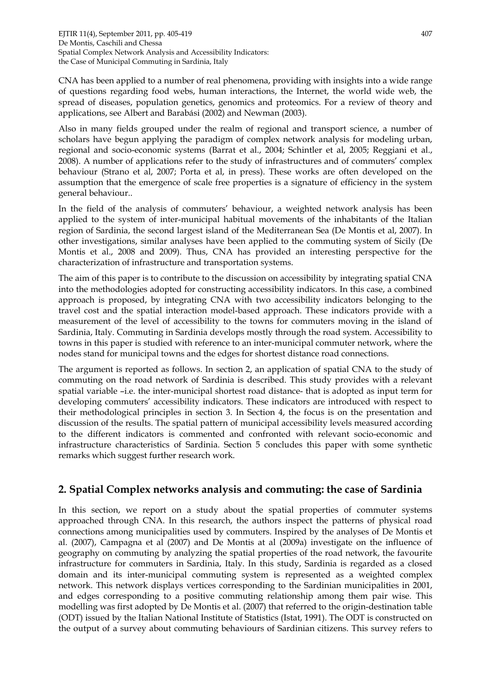CNA has been applied to a number of real phenomena, providing with insights into a wide range of questions regarding food webs, human interactions, the Internet, the world wide web, the spread of diseases, population genetics, genomics and proteomics. For a review of theory and applications, see Albert and Barabási (2002) and Newman (2003).

Also in many fields grouped under the realm of regional and transport science, a number of scholars have begun applying the paradigm of complex network analysis for modeling urban, regional and socio-economic systems (Barrat et al., 2004; Schintler et al, 2005; Reggiani et al., 2008). A number of applications refer to the study of infrastructures and of commuters' complex behaviour (Strano et al, 2007; Porta et al, in press). These works are often developed on the assumption that the emergence of scale free properties is a signature of efficiency in the system general behaviour..

In the field of the analysis of commuters' behaviour, a weighted network analysis has been applied to the system of inter-municipal habitual movements of the inhabitants of the Italian region of Sardinia, the second largest island of the Mediterranean Sea (De Montis et al, 2007). In other investigations, similar analyses have been applied to the commuting system of Sicily (De Montis et al., 2008 and 2009). Thus, CNA has provided an interesting perspective for the characterization of infrastructure and transportation systems.

The aim of this paper is to contribute to the discussion on accessibility by integrating spatial CNA into the methodologies adopted for constructing accessibility indicators. In this case, a combined approach is proposed, by integrating CNA with two accessibility indicators belonging to the travel cost and the spatial interaction model-based approach. These indicators provide with a measurement of the level of accessibility to the towns for commuters moving in the island of Sardinia, Italy. Commuting in Sardinia develops mostly through the road system. Accessibility to towns in this paper is studied with reference to an inter-municipal commuter network, where the nodes stand for municipal towns and the edges for shortest distance road connections.

The argument is reported as follows. In section 2, an application of spatial CNA to the study of commuting on the road network of Sardinia is described. This study provides with a relevant spatial variable –i.e. the inter-municipal shortest road distance- that is adopted as input term for developing commuters' accessibility indicators. These indicators are introduced with respect to their methodological principles in section 3. In Section 4, the focus is on the presentation and discussion of the results. The spatial pattern of municipal accessibility levels measured according to the different indicators is commented and confronted with relevant socio-economic and infrastructure characteristics of Sardinia. Section 5 concludes this paper with some synthetic remarks which suggest further research work.

## **2. Spatial Complex networks analysis and commuting: the case of Sardinia**

In this section, we report on a study about the spatial properties of commuter systems approached through CNA. In this research, the authors inspect the patterns of physical road connections among municipalities used by commuters. Inspired by the analyses of De Montis et al. (2007), Campagna et al (2007) and De Montis at al (2009a) investigate on the influence of geography on commuting by analyzing the spatial properties of the road network, the favourite infrastructure for commuters in Sardinia, Italy. In this study, Sardinia is regarded as a closed domain and its inter-municipal commuting system is represented as a weighted complex network. This network displays vertices corresponding to the Sardinian municipalities in 2001, and edges corresponding to a positive commuting relationship among them pair wise. This modelling was first adopted by De Montis et al. (2007) that referred to the origin-destination table (ODT) issued by the Italian National Institute of Statistics (Istat, 1991). The ODT is constructed on the output of a survey about commuting behaviours of Sardinian citizens. This survey refers to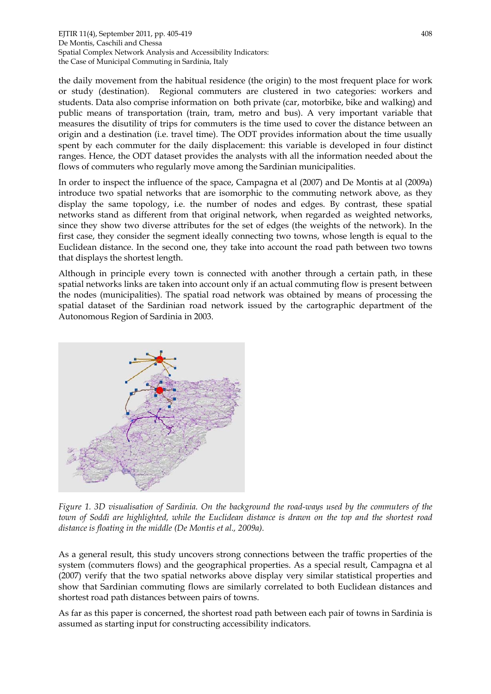the daily movement from the habitual residence (the origin) to the most frequent place for work or study (destination). Regional commuters are clustered in two categories: workers and students. Data also comprise information on both private (car, motorbike, bike and walking) and public means of transportation (train, tram, metro and bus). A very important variable that measures the disutility of trips for commuters is the time used to cover the distance between an origin and a destination (i.e. travel time). The ODT provides information about the time usually spent by each commuter for the daily displacement: this variable is developed in four distinct ranges. Hence, the ODT dataset provides the analysts with all the information needed about the flows of commuters who regularly move among the Sardinian municipalities.

In order to inspect the influence of the space, Campagna et al (2007) and De Montis at al (2009a) introduce two spatial networks that are isomorphic to the commuting network above, as they display the same topology, i.e. the number of nodes and edges. By contrast, these spatial networks stand as different from that original network, when regarded as weighted networks, since they show two diverse attributes for the set of edges (the weights of the network). In the first case, they consider the segment ideally connecting two towns, whose length is equal to the Euclidean distance. In the second one, they take into account the road path between two towns that displays the shortest length.

Although in principle every town is connected with another through a certain path, in these spatial networks links are taken into account only if an actual commuting flow is present between the nodes (municipalities). The spatial road network was obtained by means of processing the spatial dataset of the Sardinian road network issued by the cartographic department of the Autonomous Region of Sardinia in 2003.



*Figure 1. 3D visualisation of Sardinia. On the background the road-ways used by the commuters of the town of Soddì are highlighted, while the Euclidean distance is drawn on the top and the shortest road distance is floating in the middle (De Montis et al., 2009a).* 

As a general result, this study uncovers strong connections between the traffic properties of the system (commuters flows) and the geographical properties. As a special result, Campagna et al (2007) verify that the two spatial networks above display very similar statistical properties and show that Sardinian commuting flows are similarly correlated to both Euclidean distances and shortest road path distances between pairs of towns.

As far as this paper is concerned, the shortest road path between each pair of towns in Sardinia is assumed as starting input for constructing accessibility indicators.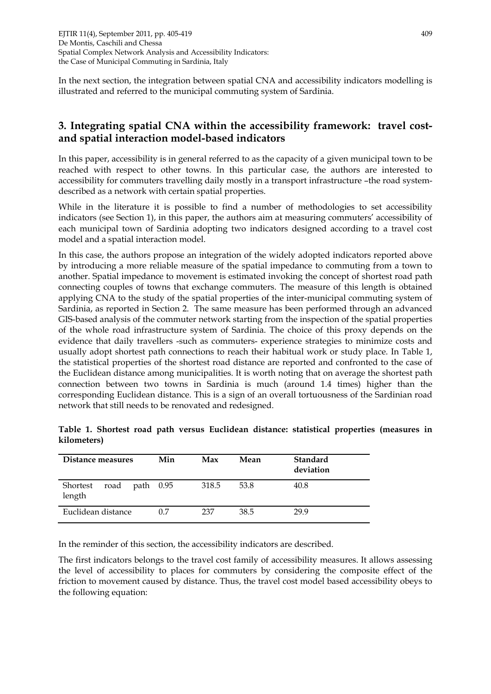In the next section, the integration between spatial CNA and accessibility indicators modelling is illustrated and referred to the municipal commuting system of Sardinia.

# **3. Integrating spatial CNA within the accessibility framework: travel costand spatial interaction model-based indicators**

In this paper, accessibility is in general referred to as the capacity of a given municipal town to be reached with respect to other towns. In this particular case, the authors are interested to accessibility for commuters travelling daily mostly in a transport infrastructure –the road systemdescribed as a network with certain spatial properties.

While in the literature it is possible to find a number of methodologies to set accessibility indicators (see Section 1), in this paper, the authors aim at measuring commuters' accessibility of each municipal town of Sardinia adopting two indicators designed according to a travel cost model and a spatial interaction model.

In this case, the authors propose an integration of the widely adopted indicators reported above by introducing a more reliable measure of the spatial impedance to commuting from a town to another. Spatial impedance to movement is estimated invoking the concept of shortest road path connecting couples of towns that exchange commuters. The measure of this length is obtained applying CNA to the study of the spatial properties of the inter-municipal commuting system of Sardinia, as reported in Section 2. The same measure has been performed through an advanced GIS-based analysis of the commuter network starting from the inspection of the spatial properties of the whole road infrastructure system of Sardinia. The choice of this proxy depends on the evidence that daily travellers -such as commuters- experience strategies to minimize costs and usually adopt shortest path connections to reach their habitual work or study place. In Table 1, the statistical properties of the shortest road distance are reported and confronted to the case of the Euclidean distance among municipalities. It is worth noting that on average the shortest path connection between two towns in Sardinia is much (around 1.4 times) higher than the corresponding Euclidean distance. This is a sign of an overall tortuousness of the Sardinian road network that still needs to be renovated and redesigned.

| Distance measures          | Min         | Max   | Mean | Standard<br>deviation |
|----------------------------|-------------|-------|------|-----------------------|
| Shortest<br>road<br>length | path $0.95$ | 318.5 | 53.8 | 40.8                  |
| Euclidean distance         | 0.7         | 237   | 38.5 | 29.9                  |

**Table 1. Shortest road path versus Euclidean distance: statistical properties (measures in kilometers)** 

In the reminder of this section, the accessibility indicators are described.

The first indicators belongs to the travel cost family of accessibility measures. It allows assessing the level of accessibility to places for commuters by considering the composite effect of the friction to movement caused by distance. Thus, the travel cost model based accessibility obeys to the following equation: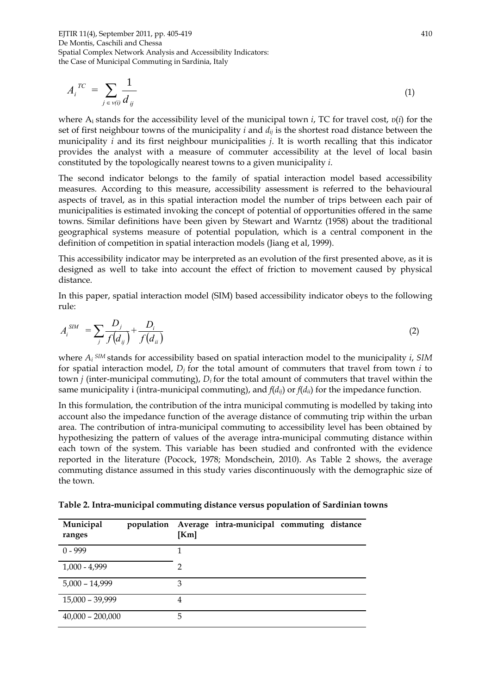$$
A_i^{TC} = \sum_{j \in v(i)} \frac{1}{d_{ij}} \tag{1}
$$

where Ai stands for the accessibility level of the municipal town *i*, TC for travel cost, *υ*(*i*) for the set of first neighbour towns of the municipality *i* and *dij* is the shortest road distance between the municipality *i* and its first neighbour municipalities *j*. It is worth recalling that this indicator provides the analyst with a measure of commuter accessibility at the level of local basin constituted by the topologically nearest towns to a given municipality *i*.

The second indicator belongs to the family of spatial interaction model based accessibility measures. According to this measure, accessibility assessment is referred to the behavioural aspects of travel, as in this spatial interaction model the number of trips between each pair of municipalities is estimated invoking the concept of potential of opportunities offered in the same towns. Similar definitions have been given by Stewart and Warntz (1958) about the traditional geographical systems measure of potential population, which is a central component in the definition of competition in spatial interaction models (Jiang et al, 1999).

This accessibility indicator may be interpreted as an evolution of the first presented above, as it is designed as well to take into account the effect of friction to movement caused by physical distance.

In this paper, spatial interaction model (SIM) based accessibility indicator obeys to the following rule:

$$
A_i^{SIM} = \sum_j \frac{D_j}{f(d_{ij})} + \frac{D_i}{f(d_{ii})}
$$
 (2)

where *Ai SIM* stands for accessibility based on spatial interaction model to the municipality *i*, *SIM* for spatial interaction model,  $D_i$  for the total amount of commuters that travel from town  $i$  to town *j* (inter-municipal commuting), *Di* for the total amount of commuters that travel within the same municipality i (intra-municipal commuting), and  $f(d_{ii})$  or  $f(d_{ii})$  for the impedance function.

In this formulation, the contribution of the intra municipal commuting is modelled by taking into account also the impedance function of the average distance of commuting trip within the urban area. The contribution of intra-municipal commuting to accessibility level has been obtained by hypothesizing the pattern of values of the average intra-municipal commuting distance within each town of the system. This variable has been studied and confronted with the evidence reported in the literature (Pocock, 1978; Mondschein, 2010). As Table 2 shows, the average commuting distance assumed in this study varies discontinuously with the demographic size of the town.

**Table 2. Intra-municipal commuting distance versus population of Sardinian towns** 

| Municipal<br>ranges | population | [Km] | Average intra-municipal commuting distance |  |
|---------------------|------------|------|--------------------------------------------|--|
| $0 - 999$           |            |      |                                            |  |
| $1,000 - 4,999$     |            | 2    |                                            |  |
| $5,000 - 14,999$    |            | 3    |                                            |  |
| 15,000 - 39,999     |            | 4    |                                            |  |
| $40,000 - 200,000$  |            | 5    |                                            |  |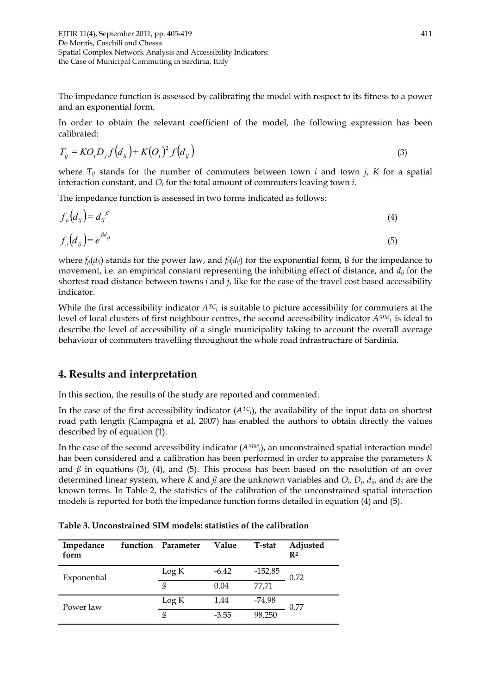The impedance function is assessed by calibrating the model with respect to its fitness to a power and an exponential form.

In order to obtain the relevant coefficient of the model, the following expression has been calibrated:

$$
T_{ij} = KO_i D_j f\left(d_{ij}\right) + K\left(O_i\right)^2 f\left(d_{ij}\right) \tag{3}
$$

where  $T_{ij}$  stands for the number of commuters between town *i* and town *j*, *K* for a spatial interaction constant, and *Oi* for the total amount of commuters leaving town *i*.

The impedance function is assessed in two forms indicated as follows:

$$
f_p\left(d_{ij}\right) = d_{ij}^{\ \beta} \tag{4}
$$

$$
f_e(d_{ij}) = e^{\beta d_{ij}} \tag{5}
$$

where  $f_p(d_{ij})$  stands for the power law, and  $f_e(d_{ij})$  for the exponential form, ß for the impedance to movement, i.e. an empirical constant representing the inhibiting effect of distance, and *dij* for the shortest road distance between towns *i* and *j*, like for the case of the travel cost based accessibility indicator.

While the first accessibility indicator  $A^{TC_i}$  is suitable to picture accessibility for commuters at the level of local clusters of first neighbour centres, the second accessibility indicator *ASIMi* is ideal to describe the level of accessibility of a single municipality taking to account the overall average behaviour of commuters travelling throughout the whole road infrastructure of Sardinia.

## **4. Results and interpretation**

In this section, the results of the study are reported and commented.

In the case of the first accessibility indicator (*ATCi*), the availability of the input data on shortest road path length (Campagna et al, 2007) has enabled the authors to obtain directly the values described by of equation (1).

In the case of the second accessibility indicator (*ASIMi*), an unconstrained spatial interaction model has been considered and a calibration has been performed in order to appraise the parameters *K* and  $\beta$  in equations (3), (4), and (5). This process has been based on the resolution of an over determined linear system, where *K* and *ß* are the unknown variables and *Oi*, *Dj*, *dij*, and *dii* are the known terms. In Table 2, the statistics of the calibration of the unconstrained spatial interaction models is reported for both the impedance function forms detailed in equation (4) and (5).

| Impedance<br>form | function | Parameter | Value   | T-stat    | Adjusted<br>$\mathbf{R}^2$ |
|-------------------|----------|-----------|---------|-----------|----------------------------|
| Exponential       |          | Log K     | $-6.42$ | $-152,85$ | 0.72                       |
|                   |          | ß         | 0.04    | 77.71     |                            |
| Power law         |          | Log K     | 1.44    | -74,98    | 0.77                       |
|                   |          | ß         | $-3.55$ | 98,250    |                            |

**Table 3. Unconstrained SIM models: statistics of the calibration**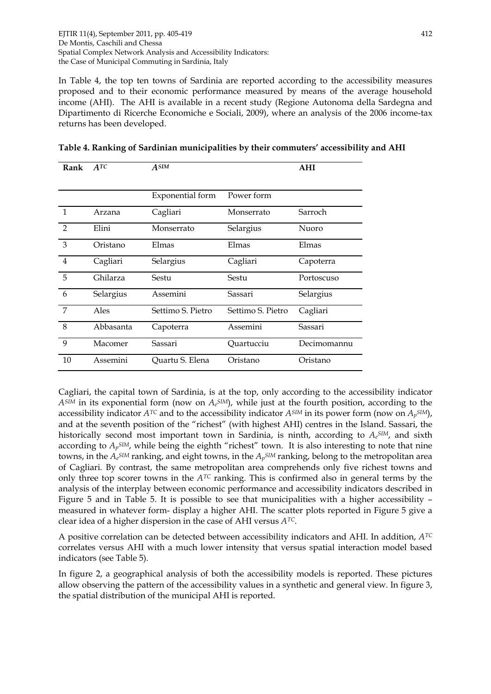In Table 4, the top ten towns of Sardinia are reported according to the accessibility measures proposed and to their economic performance measured by means of the average household income (AHI). The AHI is available in a recent study (Regione Autonoma della Sardegna and Dipartimento di Ricerche Economiche e Sociali, 2009), where an analysis of the 2006 income-tax returns has been developed.

| Rank           | ATC       | $A^{SIM}$         |                   | <b>AHI</b>  |
|----------------|-----------|-------------------|-------------------|-------------|
|                |           |                   |                   |             |
|                |           | Exponential form  | Power form        |             |
| $\mathbf{1}$   | Arzana    | Cagliari          | Monserrato        | Sarroch     |
| $\overline{2}$ | Elini     | Monserrato        | Selargius         | Nuoro       |
| 3              | Oristano  | Elmas             | Elmas             | Elmas       |
| $\overline{4}$ | Cagliari  | Selargius         | Cagliari          | Capoterra   |
| 5              | Ghilarza  | Sestu             | Sestu             | Portoscuso  |
| 6              | Selargius | Assemini          | Sassari           | Selargius   |
| $\overline{7}$ | Ales      | Settimo S. Pietro | Settimo S. Pietro | Cagliari    |
| 8              | Abbasanta | Capoterra         | Assemini          | Sassari     |
| 9              | Macomer   | Sassari           | Quartucciu        | Decimomannu |
| 10             | Assemini  | Quartu S. Elena   | Oristano          | Oristano    |

**Table 4. Ranking of Sardinian municipalities by their commuters' accessibility and AHI** 

Cagliari, the capital town of Sardinia, is at the top, only according to the accessibility indicator *ASIM* in its exponential form (now on *Ae SIM*), while just at the fourth position, according to the accessibility indicator *ATC* and to the accessibility indicator *ASIM* in its power form (now on *Ap SIM*), and at the seventh position of the "richest" (with highest AHI) centres in the Island. Sassari, the historically second most important town in Sardinia, is ninth, according to *Ae SIM*, and sixth according to  $A_p{}^{SIM}$ , while being the eighth "richest" town. It is also interesting to note that nine towns, in the *Ae SIM* ranking, and eight towns, in the *Ap SIM* ranking, belong to the metropolitan area of Cagliari. By contrast, the same metropolitan area comprehends only five richest towns and only three top scorer towns in the *ATC* ranking. This is confirmed also in general terms by the analysis of the interplay between economic performance and accessibility indicators described in Figure 5 and in Table 5. It is possible to see that municipalities with a higher accessibility – measured in whatever form- display a higher AHI. The scatter plots reported in Figure 5 give a clear idea of a higher dispersion in the case of AHI versus *ATC*.

A positive correlation can be detected between accessibility indicators and AHI. In addition, *ATC* correlates versus AHI with a much lower intensity that versus spatial interaction model based indicators (see Table 5).

In figure 2, a geographical analysis of both the accessibility models is reported. These pictures allow observing the pattern of the accessibility values in a synthetic and general view. In figure 3, the spatial distribution of the municipal AHI is reported.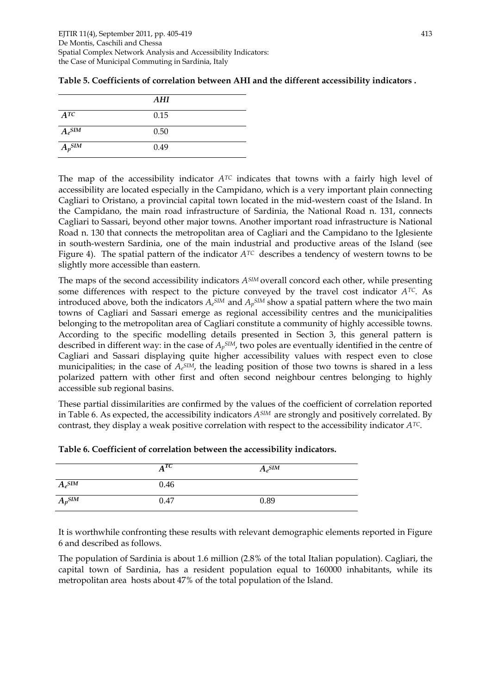|             | AHI  |  |
|-------------|------|--|
| ATC         | 0.15 |  |
| $A_e^{SIM}$ | 0.50 |  |
| $A_p$ SIM   | 0.49 |  |

| Table 5. Coefficients of correlation between AHI and the different accessibility indicators . |  |  |
|-----------------------------------------------------------------------------------------------|--|--|
|-----------------------------------------------------------------------------------------------|--|--|

The map of the accessibility indicator  $A^{TC}$  indicates that towns with a fairly high level of accessibility are located especially in the Campidano, which is a very important plain connecting Cagliari to Oristano, a provincial capital town located in the mid-western coast of the Island. In the Campidano, the main road infrastructure of Sardinia, the National Road n. 131, connects Cagliari to Sassari, beyond other major towns. Another important road infrastructure is National Road n. 130 that connects the metropolitan area of Cagliari and the Campidano to the Iglesiente in south-western Sardinia, one of the main industrial and productive areas of the Island (see Figure 4). The spatial pattern of the indicator *ATC* describes a tendency of western towns to be slightly more accessible than eastern.

The maps of the second accessibility indicators *ASIM* overall concord each other, while presenting some differences with respect to the picture conveyed by the travel cost indicator *ATC*. As introduced above, both the indicators  $A_e^{SIM}$  and  $A_p^{SIM}$  show a spatial pattern where the two main towns of Cagliari and Sassari emerge as regional accessibility centres and the municipalities belonging to the metropolitan area of Cagliari constitute a community of highly accessible towns. According to the specific modelling details presented in Section 3, this general pattern is described in different way: in the case of *Ap SIM*, two poles are eventually identified in the centre of Cagliari and Sassari displaying quite higher accessibility values with respect even to close municipalities; in the case of  $A_e^{SIM}$ , the leading position of those two towns is shared in a less polarized pattern with other first and often second neighbour centres belonging to highly accessible sub regional basins.

These partial dissimilarities are confirmed by the values of the coefficient of correlation reported in Table 6. As expected, the accessibility indicators *ASIM* are strongly and positively correlated. By contrast, they display a weak positive correlation with respect to the accessibility indicator *ATC*.

|             | $A^{TC}$ | $A_e^{SIM}$ |
|-------------|----------|-------------|
| $A_e^{SIM}$ | 0.46     |             |
| $A_p$ SIM   | 0.47     | 0.89        |

| Table 6. Coefficient of correlation between the accessibility indicators. |  |  |  |
|---------------------------------------------------------------------------|--|--|--|
|---------------------------------------------------------------------------|--|--|--|

It is worthwhile confronting these results with relevant demographic elements reported in Figure 6 and described as follows.

The population of Sardinia is about 1.6 million (2.8% of the total Italian population). Cagliari, the capital town of Sardinia, has a resident population equal to 160000 inhabitants, while its metropolitan area hosts about 47% of the total population of the Island.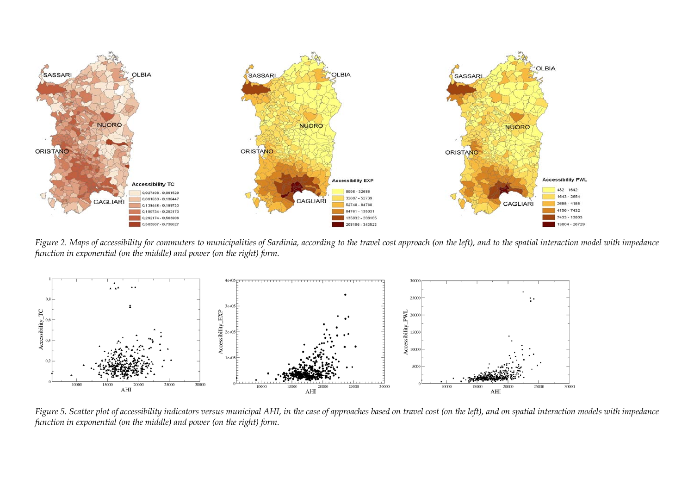

*Figure 2. Maps of accessibility for commuters to municipalities of Sardinia, according to the travel cost approach (on the left), and to the spatial interaction model with impedance function in exponential (on the middle) and power (on the right) form.* 



*Figure 5. Scatter plot of accessibility indicators versus municipal AHI, in the case of approaches based on travel cost (on the left), and on spatial interaction models with impedance function in exponential (on the middle) and power (on the right) form.*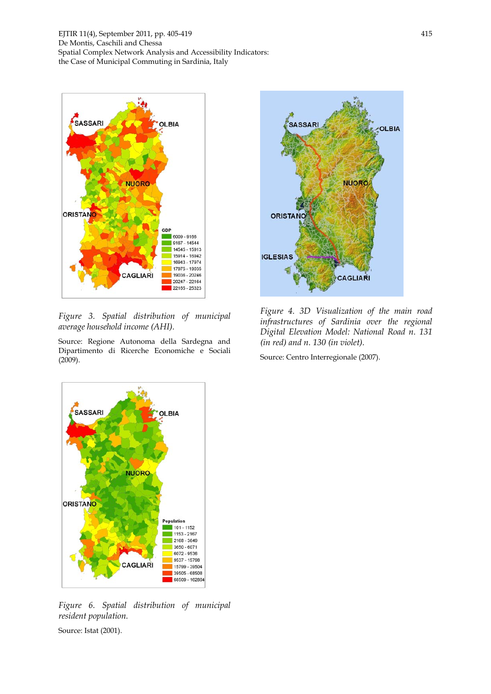

*Figure 3. Spatial distribution of municipal average household income (AHI).* 

Source: Regione Autonoma della Sardegna and Dipartimento di Ricerche Economiche e Sociali (2009).



*Figure 4. 3D Visualization of the main road infrastructures of Sardinia over the regional Digital Elevation Model: National Road n. 131 (in red) and n. 130 (in violet).* 

Source: Centro Interregionale (2007).



*Figure 6. Spatial distribution of municipal resident population.* 

Source: Istat (2001).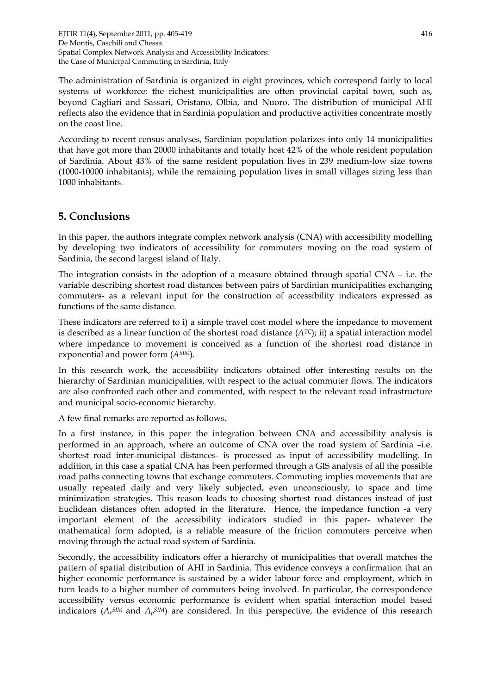The administration of Sardinia is organized in eight provinces, which correspond fairly to local systems of workforce: the richest municipalities are often provincial capital town, such as, beyond Cagliari and Sassari, Oristano, Olbia, and Nuoro. The distribution of municipal AHI reflects also the evidence that in Sardinia population and productive activities concentrate mostly on the coast line.

According to recent census analyses, Sardinian population polarizes into only 14 municipalities that have got more than 20000 inhabitants and totally host 42% of the whole resident population of Sardinia. About 43% of the same resident population lives in 239 medium-low size towns (1000-10000 inhabitants), while the remaining population lives in small villages sizing less than 1000 inhabitants.

## **5. Conclusions**

In this paper, the authors integrate complex network analysis (CNA) with accessibility modelling by developing two indicators of accessibility for commuters moving on the road system of Sardinia, the second largest island of Italy.

The integration consists in the adoption of a measure obtained through spatial CNA – i.e. the variable describing shortest road distances between pairs of Sardinian municipalities exchanging commuters- as a relevant input for the construction of accessibility indicators expressed as functions of the same distance.

These indicators are referred to i) a simple travel cost model where the impedance to movement is described as a linear function of the shortest road distance  $(A^{TC})$ ; ii) a spatial interaction model where impedance to movement is conceived as a function of the shortest road distance in exponential and power form (*ASIM*).

In this research work, the accessibility indicators obtained offer interesting results on the hierarchy of Sardinian municipalities, with respect to the actual commuter flows. The indicators are also confronted each other and commented, with respect to the relevant road infrastructure and municipal socio-economic hierarchy.

A few final remarks are reported as follows.

In a first instance, in this paper the integration between CNA and accessibility analysis is performed in an approach, where an outcome of CNA over the road system of Sardinia –i.e. shortest road inter-municipal distances- is processed as input of accessibility modelling. In addition, in this case a spatial CNA has been performed through a GIS analysis of all the possible road paths connecting towns that exchange commuters. Commuting implies movements that are usually repeated daily and very likely subjected, even unconsciously, to space and time minimization strategies. This reason leads to choosing shortest road distances instead of just Euclidean distances often adopted in the literature. Hence, the impedance function -a very important element of the accessibility indicators studied in this paper- whatever the mathematical form adopted, is a reliable measure of the friction commuters perceive when moving through the actual road system of Sardinia.

Secondly, the accessibility indicators offer a hierarchy of municipalities that overall matches the pattern of spatial distribution of AHI in Sardinia. This evidence conveys a confirmation that an higher economic performance is sustained by a wider labour force and employment, which in turn leads to a higher number of commuters being involved. In particular, the correspondence accessibility versus economic performance is evident when spatial interaction model based indicators (*Ae SIM* and *Ap SIM*) are considered. In this perspective, the evidence of this research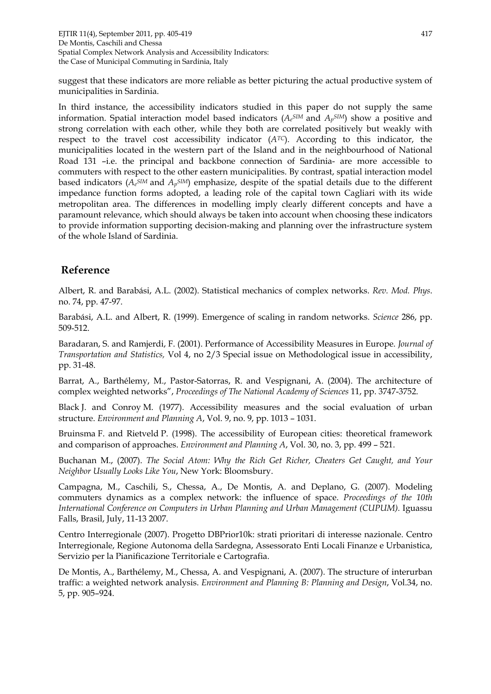suggest that these indicators are more reliable as better picturing the actual productive system of municipalities in Sardinia.

In third instance, the accessibility indicators studied in this paper do not supply the same information. Spatial interaction model based indicators (*Ae SIM* and *Ap SIM*) show a positive and strong correlation with each other, while they both are correlated positively but weakly with respect to the travel cost accessibility indicator (*ATC*). According to this indicator, the municipalities located in the western part of the Island and in the neighbourhood of National Road 131 –i.e. the principal and backbone connection of Sardinia- are more accessible to commuters with respect to the other eastern municipalities. By contrast, spatial interaction model based indicators ( $A_e{}^{SIM}$  and  $A_p{}^{SIM}$ ) emphasize, despite of the spatial details due to the different impedance function forms adopted, a leading role of the capital town Cagliari with its wide metropolitan area. The differences in modelling imply clearly different concepts and have a paramount relevance, which should always be taken into account when choosing these indicators to provide information supporting decision-making and planning over the infrastructure system of the whole Island of Sardinia.

#### **Reference**

Albert, R. and Barabási, A.L. (2002). Statistical mechanics of complex networks. *Rev. Mod. Phys*. no. 74, pp. 47-97.

Barabási, A.L. and Albert, R. (1999). Emergence of scaling in random networks. *Science* 286, pp. 509-512.

Baradaran, S. and Ramjerdi, F. (2001). Performance of Accessibility Measures in Europe. *Journal of Transportation and Statistics,* Vol 4, no 2/3 Special issue on Methodological issue in accessibility, pp. 31-48.

Barrat, A., Barthélemy, M., Pastor-Satorras, R. and Vespignani, A. (2004). The architecture of complex weighted networks", *Proceedings of The National Academy of Sciences* 11, pp. 3747-3752.

Black J. and Conroy M. (1977). Accessibility measures and the social evaluation of urban structure. *Environment and Planning A*, Vol. 9, no. 9, pp. 1013 – 1031.

Bruinsma F. and Rietveld P. (1998). The accessibility of European cities: theoretical framework and comparison of approaches. *Environment and Planning A*, Vol. 30, no. 3, pp. 499 – 521.

Buchanan M., (2007). *The Social Atom: Why the Rich Get Richer, Cheaters Get Caught, and Your Neighbor Usually Looks Like You*, New York: Bloomsbury.

Campagna, M., Caschili, S., Chessa, A., De Montis, A. and Deplano, G. (2007). Modeling commuters dynamics as a complex network: the influence of space. *Proceedings of the 10th International Conference on Computers in Urban Planning and Urban Management (CUPUM).* Iguassu Falls, Brasil, July, 11-13 2007.

Centro Interregionale (2007). Progetto DBPrior10k: strati prioritari di interesse nazionale. Centro Interregionale, Regione Autonoma della Sardegna, Assessorato Enti Locali Finanze e Urbanistica, Servizio per la Pianificazione Territoriale e Cartografia.

De Montis, A., Barthélemy, M., Chessa, A. and Vespignani, A. (2007). The structure of interurban traffic: a weighted network analysis. *Environment and Planning B: Planning and Design*, Vol.34, no. 5, pp. 905–924.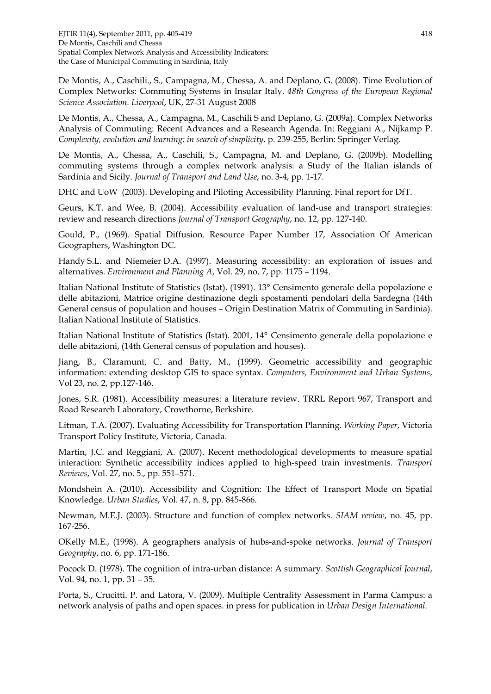De Montis, A., Caschili., S., Campagna, M., Chessa, A. and Deplano, G. (2008). Time Evolution of Complex Networks: Commuting Systems in Insular Italy. *48th Congress of the European Regional Science Association. Liverpool*, UK, 27-31 August 2008

De Montis, A., Chessa, A., Campagna, M., Caschili S and Deplano, G. (2009a). Complex Networks Analysis of Commuting: Recent Advances and a Research Agenda. In: Reggiani A., Nijkamp P. *Complexity, evolution and learning: in search of simplicity*. p. 239-255, Berlin: Springer Verlag.

De Montis, A., Chessa, A., Caschili, S., Campagna, M. and Deplano, G. (2009b). Modelling commuting systems through a complex network analysis: a Study of the Italian islands of Sardinia and Sicily. *Journal of Transport and Land Use*, no. 3-4, pp. 1-17.

DHC and UoW (2003). Developing and Piloting Accessibility Planning. Final report for DfT.

Geurs, K.T. and Wee, B. (2004). Accessibility evaluation of land-use and transport strategies: review and research directions *Journal of Transport Geography*, no. 12, pp. 127-140.

Gould, P., (1969). Spatial Diffusion. Resource Paper Number 17, Association Of American Geographers, Washington DC.

Handy S.L. and Niemeier D.A. (1997). Measuring accessibility: an exploration of issues and alternatives. *Environment and Planning A*, Vol. 29, no. 7, pp. 1175 – 1194.

Italian National Institute of Statistics (Istat). (1991). 13° Censimento generale della popolazione e delle abitazioni, Matrice origine destinazione degli spostamenti pendolari della Sardegna (14th General census of population and houses – Origin Destination Matrix of Commuting in Sardinia). Italian National Institute of Statistics.

Italian National Institute of Statistics (Istat). 2001, 14° Censimento generale della popolazione e delle abitazioni, (14th General census of population and houses).

Jiang, B., Claramunt, C. and Batty, M., (1999). Geometric accessibility and geographic information: extending desktop GIS to space syntax. *Computers, Environment and Urban Systems*, Vol 23, no. 2, pp.127-146.

Jones, S.R. (1981). Accessibility measures: a literature review. TRRL Report 967, Transport and Road Research Laboratory, Crowthorne, Berkshire.

Litman, T.A. (2007). Evaluating Accessibility for Transportation Planning. *Working Paper*, Victoria Transport Policy Institute, Victoria, Canada.

Martin, J.C. and Reggiani, A. (2007). Recent methodological developments to measure spatial interaction: Synthetic accessibility indices applied to high-speed train investments. *Transport Reviews*, Vol. 27, no. 5., pp. 551–571.

Mondshein A. (2010). Accessibility and Cognition: The Effect of Transport Mode on Spatial Knowledge. *Urban Studies*, Vol. 47, n. 8, pp. 845-866.

Newman, M.E.J. (2003). Structure and function of complex networks. *SIAM review*, no. 45, pp. 167-256.

OKelly M.E., (1998). A geographers analysis of hubs-and-spoke networks. *Journal of Transport Geography*, no. 6, pp. 171-186.

Pocock D. (1978). The cognition of intra-urban distance: A summary. *Scottish Geographical Journal*, Vol. 94, no. 1, pp. 31 – 35.

Porta, S., Crucitti. P. and Latora, V. (2009). Multiple Centrality Assessment in Parma Campus: a network analysis of paths and open spaces. in press for publication in *Urban Design International*.